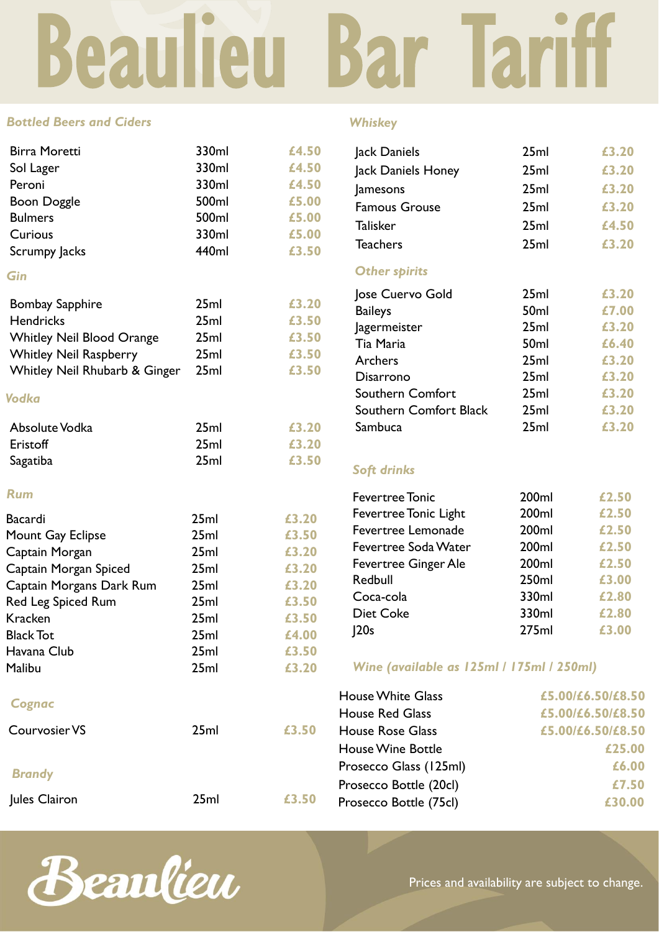# Beaulieu Bar Tariff

#### *Bottled Beers and Ciders*

| <b>Birra Moretti</b>             | 330ml | £4.50 |
|----------------------------------|-------|-------|
| Sol Lager                        | 330ml | £4.50 |
| Peroni                           | 330ml | £4.50 |
| <b>Boon Doggle</b>               | 500ml | £5.00 |
| <b>Bulmers</b>                   | 500ml | £5.00 |
| Curious                          | 330ml | £5.00 |
| Scrumpy Jacks                    | 440ml | £3.50 |
| Gin                              |       |       |
| <b>Bombay Sapphire</b>           | 25ml  | £3.20 |
| <b>Hendricks</b>                 | 25ml  | £3.50 |
| <b>Whitley Neil Blood Orange</b> | 25ml  | £3.50 |
| <b>Whitley Neil Raspberry</b>    | 25ml  | £3.50 |
| Whitley Neil Rhubarb & Ginger    | 25ml  | £3.50 |
| Vodka                            |       |       |
| Absolute Vodka                   | 25ml  | £3.20 |
| Eristoff                         | 25ml  | £3.20 |
| Sagatiba                         | 25ml  | £3.50 |
| <b>Rum</b>                       |       |       |
| <b>Bacardi</b>                   | 25ml  | £3.20 |
| Mount Gay Eclipse                | 25ml  | £3.50 |
| Captain Morgan                   | 25ml  | £3.20 |
| Captain Morgan Spiced            | 25ml  | £3.20 |
| Captain Morgans Dark Rum         | 25ml  | £3.20 |
| Red Leg Spiced Rum               | 25ml  | £3.50 |
| <b>Kracken</b>                   | 25ml  | £3.50 |
| <b>Black Tot</b>                 | 25ml  | £4.00 |
| Havana Club                      | 25ml  | £3.50 |
| Malibu                           | 25ml  | £3.20 |
| Cognac                           |       |       |
| <b>Courvosier VS</b>             | 25ml  | £3.50 |

# *Brandy*

Jules Clairon 25ml **£3.** 

## *Whiskey*

| Jack Daniels            | 25ml             | £3.20 |
|-------------------------|------------------|-------|
| Jack Daniels Honey      | 25ml             | £3.20 |
| Jamesons                | 25ml             | £3.20 |
| <b>Famous Grouse</b>    | 25ml             | £3.20 |
| <b>Talisker</b>         | 25ml             | £4.50 |
| <b>Teachers</b>         | 25ml             | £3.20 |
| <b>Other spirits</b>    |                  |       |
| Jose Cuervo Gold        | 25ml             | £3.20 |
| <b>Baileys</b>          | 50 <sub>ml</sub> | £7.00 |
| Jagermeister            | 25ml             | £3.20 |
| Tia Maria               | 50 <sub>ml</sub> | £6.40 |
| Archers                 | 25ml             | £3.20 |
| Disarrono               | 25ml             | £3.20 |
| <b>Southern Comfort</b> | 25ml             | £3.20 |
| Southern Comfort Black  | 25ml             | £3.20 |
| Sambuca                 | 25ml             | £3.20 |
|                         |                  |       |
|                         |                  |       |

# *Soft drinks*

| <b>Fevertree Tonic</b>       | 200ml | £2.50 |
|------------------------------|-------|-------|
| <b>Fevertree Tonic Light</b> | 200ml | £2.50 |
| Fevertree Lemonade           | 200ml | £2.50 |
| <b>Fevertree Soda Water</b>  | 200ml | £2.50 |
| <b>Fevertree Ginger Ale</b>  | 200ml | £2.50 |
| Redbull                      | 250ml | £3.00 |
| Coca-cola                    | 330ml | £2.80 |
| <b>Diet Coke</b>             | 330ml | £2.80 |
| 120s                         | 275ml | £3.00 |

## *Wine (available as 125ml / 175ml / 250ml)*

|    | <b>House White Glass</b> | £5.00/£6.50/£8.50 |
|----|--------------------------|-------------------|
|    | <b>House Red Glass</b>   | £5.00/£6.50/£8.50 |
| 50 | <b>House Rose Glass</b>  | £5.00/£6.50/£8.50 |
|    | <b>House Wine Bottle</b> | £25.00            |
|    | Prosecco Glass (125ml)   | £6.00             |
|    | Prosecco Bottle (20cl)   | £7.50             |
| 50 | Prosecco Bottle (75cl)   | £30.00            |
|    |                          |                   |



Prices and availability are subject to change.